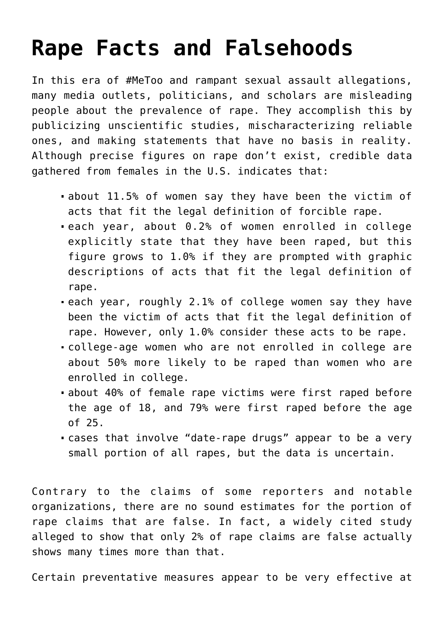# **[Rape Facts and Falsehoods](https://intellectualtakeout.org/2018/10/rape-facts-and-falsehoods/)**

In this era of #MeToo and rampant sexual assault allegations, many media outlets, politicians, and scholars are misleading people about the prevalence of rape. They accomplish this by publicizing unscientific studies, mischaracterizing reliable ones, and making statements that have no basis in reality. Although precise figures on rape don't exist, credible data gathered from females in the U.S. indicates that:

- about 11.5% of women say they have been the victim of acts that fit the legal definition of forcible rape.
- each year, about 0.2% of women enrolled in college explicitly state that they have been raped, but this figure grows to 1.0% if they are prompted with graphic descriptions of acts that fit the legal definition of rape.
- each year, roughly 2.1% of college women say they have been the victim of acts that fit the legal definition of rape. However, only 1.0% consider these acts to be rape.
- college-age women who are not enrolled in college are about 50% more likely to be raped than women who are enrolled in college.
- about 40% of female rape victims were first raped before the age of 18, and 79% were first raped before the age of 25.
- cases that involve "date-rape drugs" appear to be a very small portion of all rapes, but the data is uncertain.

Contrary to the claims of some reporters and notable organizations, there are no sound estimates for the portion of rape claims that are false. In fact, a widely cited study alleged to show that only 2% of rape claims are false actually shows many times more than that.

Certain preventative measures appear to be very effective at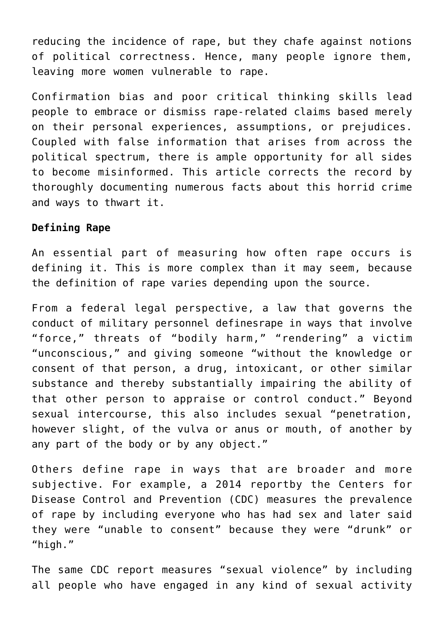reducing the incidence of rape, but they chafe against notions of political correctness. Hence, many people ignore them, leaving more women vulnerable to rape.

Confirmation bias and poor critical thinking skills lead people to embrace or dismiss rape-related claims based merely on their personal experiences, assumptions, or prejudices. Coupled with false information that arises from across the political spectrum, there is ample opportunity for all sides to become misinformed. This article corrects the record by thoroughly documenting numerous facts about this horrid crime and ways to thwart it.

#### **Defining Rape**

An essential part of measuring how often rape occurs is defining it. This is more complex than it may seem, because the definition of rape varies depending upon the source.

From a federal legal perspective, a law that governs the conduct of military personnel definesrape in ways that involve "force," threats of "bodily harm," "rendering" a victim "unconscious," and giving someone "without the knowledge or consent of that person, a drug, intoxicant, or other similar substance and thereby substantially impairing the ability of that other person to appraise or control conduct." Beyond sexual intercourse, this also includes sexual "penetration, however slight, of the vulva or anus or mouth, of another by any part of the body or by any object."

Others define rape in ways that are broader and more subjective. For example, a 2014 reportby the Centers for Disease Control and Prevention (CDC) measures the prevalence of rape by including everyone who has had sex and later said they were "unable to consent" because they were "drunk" or "high."

The same CDC report measures "sexual violence" by including all people who have engaged in any kind of sexual activity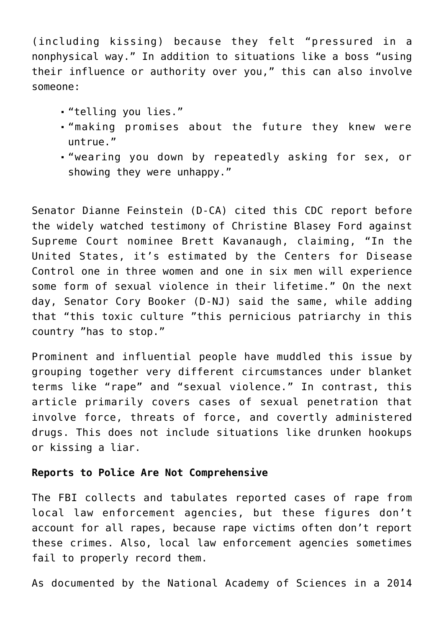(including kissing) because they felt "pressured in a nonphysical way." In addition to situations like a boss "using their influence or authority over you," this can also involve someone:

- "telling you lies."
- "making promises about the future they knew were untrue."
- "wearing you down by repeatedly asking for sex, or showing they were unhappy."

Senator Dianne Feinstein (D-CA) cited this CDC report before the widely watched testimony of Christine Blasey Ford against Supreme Court nominee Brett Kavanaugh, claiming, "In the United States, it's estimated by the Centers for Disease Control one in three women and one in six men will experience some form of sexual violence in their lifetime." On the next day, Senator Cory Booker (D-NJ) said the same, while adding that "this toxic culture "this pernicious patriarchy in this country "has to stop."

Prominent and influential people have muddled this issue by grouping together very different circumstances under blanket terms like "rape" and "sexual violence." In contrast, this article primarily covers cases of sexual penetration that involve force, threats of force, and covertly administered drugs. This does not include situations like drunken hookups or kissing a liar.

### **Reports to Police Are Not Comprehensive**

The FBI collects and tabulates reported cases of rape from local law enforcement agencies, but these figures don't account for all rapes, because rape victims often don't report these crimes. Also, local law enforcement agencies sometimes fail to properly record them.

As documented by the National Academy of Sciences in a 2014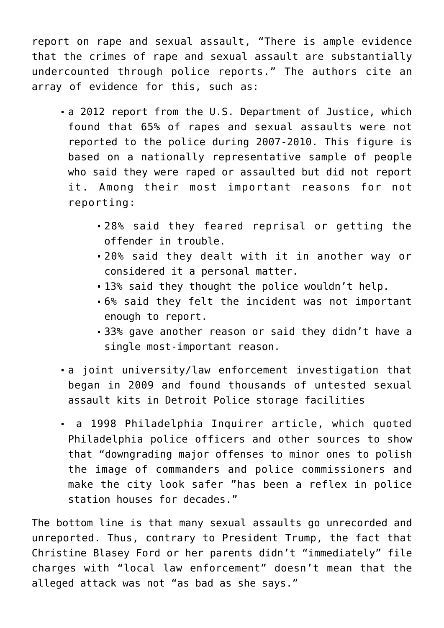report on rape and sexual assault, "There is ample evidence that the crimes of rape and sexual assault are substantially undercounted through police reports." The authors cite an array of evidence for this, such as:

- a 2012 report from the U.S. Department of Justice, which found that 65% of rapes and sexual assaults were not reported to the police during 2007-2010. This figure is based on a nationally representative sample of people who said they were raped or assaulted but did not report it. Among their most important reasons for not reporting:
	- 28% said they feared reprisal or getting the offender in trouble.
	- 20% said they dealt with it in another way or considered it a personal matter.
	- 13% said they thought the police wouldn't help.
	- 6% said they felt the incident was not important enough to report.
	- 33% gave another reason or said they didn't have a single most-important reason.
- a joint university/law enforcement investigation that began in 2009 and found thousands of untested sexual assault kits in Detroit Police storage facilities
- a 1998 Philadelphia Inquirer article, which quoted Philadelphia police officers and other sources to show that "downgrading major offenses to minor ones to polish the image of commanders and police commissioners and make the city look safer "has been a reflex in police station houses for decades."

The bottom line is that many sexual assaults go unrecorded and unreported. Thus, contrary to President Trump, the fact that Christine Blasey Ford or her parents didn't "immediately" file charges with "local law enforcement" doesn't mean that the alleged attack was not "as bad as she says."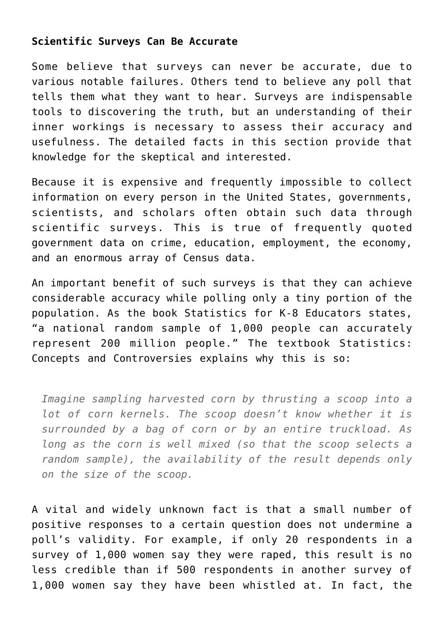## **Scientific Surveys Can Be Accurate**

Some believe that surveys can never be accurate, due to various notable failures. Others tend to believe any poll that tells them what they want to hear. Surveys are indispensable tools to discovering the truth, but an understanding of their inner workings is necessary to assess their accuracy and usefulness. The detailed facts in this section provide that knowledge for the skeptical and interested.

Because it is expensive and frequently impossible to collect information on every person in the United States, governments, scientists, and scholars often obtain such data through scientific surveys. This is true of frequently quoted government data on crime, education, employment, the economy, and an enormous array of Census data.

An important benefit of such surveys is that they can achieve considerable accuracy while polling only a tiny portion of the population. As the book Statistics for K-8 Educators states, "a national random sample of 1,000 people can accurately represent 200 million people." The textbook Statistics: Concepts and Controversies explains why this is so:

*Imagine sampling harvested corn by thrusting a scoop into a lot of corn kernels. The scoop doesn't know whether it is surrounded by a bag of corn or by an entire truckload. As long as the corn is well mixed (so that the scoop selects a random sample), the availability of the result depends only on the size of the scoop.*

A vital and widely unknown fact is that a small number of positive responses to a certain question does not undermine a poll's validity. For example, if only 20 respondents in a survey of 1,000 women say they were raped, this result is no less credible than if 500 respondents in another survey of 1,000 women say they have been whistled at. In fact, the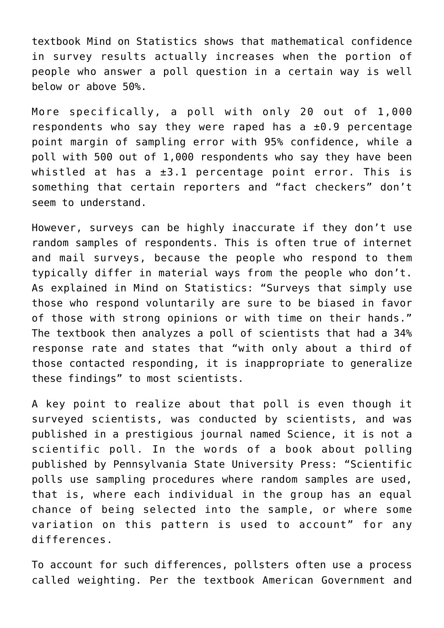textbook Mind on Statistics shows that mathematical confidence in survey results actually increases when the portion of people who answer a poll question in a certain way is well below or above 50%.

More specifically, a poll with only 20 out of 1,000 respondents who say they were raped has a  $\pm 0.9$  percentage point margin of sampling error with 95% confidence, while a poll with 500 out of 1,000 respondents who say they have been whistled at has a  $\pm 3.1$  percentage point error. This is something that certain reporters and "fact checkers" don't seem to understand.

However, surveys can be highly inaccurate if they don't use random samples of respondents. This is often true of internet and mail surveys, because the people who respond to them typically differ in material ways from the people who don't. As explained in Mind on Statistics: "Surveys that simply use those who respond voluntarily are sure to be biased in favor of those with strong opinions or with time on their hands." The textbook then analyzes a poll of scientists that had a 34% response rate and states that "with only about a third of those contacted responding, it is inappropriate to generalize these findings" to most scientists.

A key point to realize about that poll is even though it surveyed scientists, was conducted by scientists, and was published in a prestigious journal named Science, it is not a scientific poll. In the words of a book about polling published by Pennsylvania State University Press: "Scientific polls use sampling procedures where random samples are used, that is, where each individual in the group has an equal chance of being selected into the sample, or where some variation on this pattern is used to account" for any differences.

To account for such differences, pollsters often use a process called weighting. Per the textbook American Government and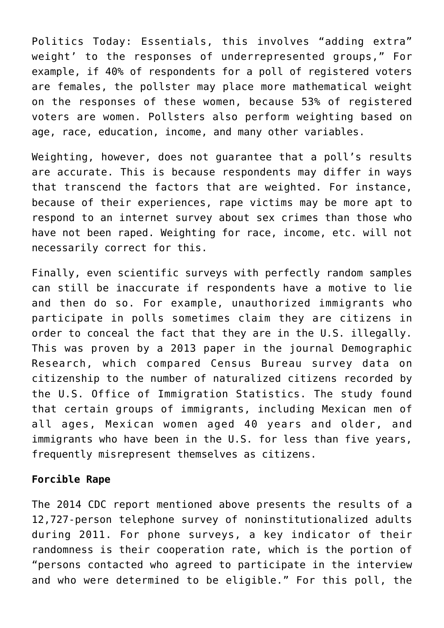Politics Today: Essentials, this involves "adding extra" weight' to the responses of underrepresented groups," For example, if 40% of respondents for a poll of registered voters are females, the pollster may place more mathematical weight on the responses of these women, because 53% of registered voters are women. Pollsters also perform weighting based on age, race, education, income, and many other variables.

Weighting, however, does not guarantee that a poll's results are accurate. This is because respondents may differ in ways that transcend the factors that are weighted. For instance, because of their experiences, rape victims may be more apt to respond to an internet survey about sex crimes than those who have not been raped. Weighting for race, income, etc. will not necessarily correct for this.

Finally, even scientific surveys with perfectly random samples can still be inaccurate if respondents have a motive to lie and then do so. For example, unauthorized immigrants who participate in polls sometimes claim they are citizens in order to conceal the fact that they are in the U.S. illegally. This was proven by a 2013 paper in the journal Demographic Research, which compared Census Bureau survey data on citizenship to the number of naturalized citizens recorded by the U.S. Office of Immigration Statistics. The study found that certain groups of immigrants, including Mexican men of all ages, Mexican women aged 40 years and older, and immigrants who have been in the U.S. for less than five years, frequently misrepresent themselves as citizens.

#### **Forcible Rape**

The 2014 CDC report mentioned above presents the results of a 12,727-person telephone survey of noninstitutionalized adults during 2011. For phone surveys, a key indicator of their randomness is their cooperation rate, which is the portion of "persons contacted who agreed to participate in the interview and who were determined to be eligible." For this poll, the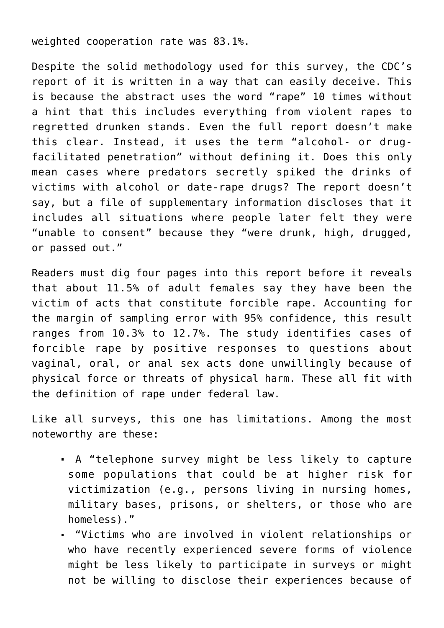weighted cooperation rate was 83.1%.

Despite the solid methodology used for this survey, the CDC's report of it is written in a way that can easily deceive. This is because the abstract uses the word "rape" 10 times without a hint that this includes everything from violent rapes to regretted drunken stands. Even the full report doesn't make this clear. Instead, it uses the term "alcohol- or drugfacilitated penetration" without defining it. Does this only mean cases where predators secretly spiked the drinks of victims with alcohol or date-rape drugs? The report doesn't say, but a file of supplementary information discloses that it includes all situations where people later felt they were "unable to consent" because they "were drunk, high, drugged, or passed out."

Readers must dig four pages into this report before it reveals that about 11.5% of adult females say they have been the victim of acts that constitute forcible rape. Accounting for the margin of sampling error with 95% confidence, this result ranges from 10.3% to 12.7%. The study identifies cases of forcible rape by positive responses to questions about vaginal, oral, or anal sex acts done unwillingly because of physical force or threats of physical harm. These all fit with the definition of rape under federal law.

Like all surveys, this one has limitations. Among the most noteworthy are these:

- A "telephone survey might be less likely to capture some populations that could be at higher risk for victimization (e.g., persons living in nursing homes, military bases, prisons, or shelters, or those who are homeless)."
- "Victims who are involved in violent relationships or who have recently experienced severe forms of violence might be less likely to participate in surveys or might not be willing to disclose their experiences because of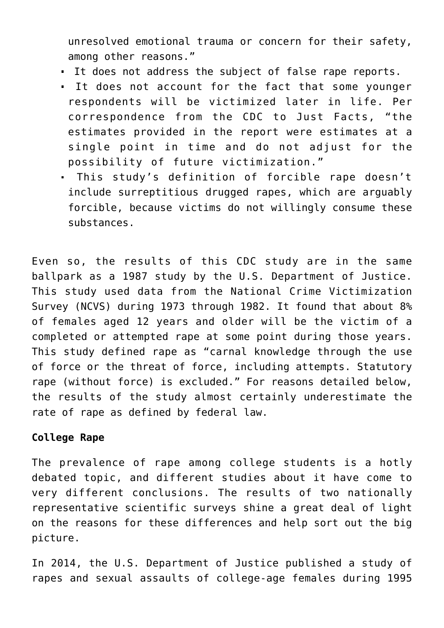unresolved emotional trauma or concern for their safety, among other reasons."

- It does not address the subject of false rape reports.
- It does not account for the fact that some younger respondents will be victimized later in life. Per correspondence from the CDC to Just Facts, "the estimates provided in the report were estimates at a single point in time and do not adjust for the possibility of future victimization."
- This study's definition of forcible rape doesn't include surreptitious drugged rapes, which are arguably forcible, because victims do not willingly consume these substances.

Even so, the results of this CDC study are in the same ballpark as a 1987 study by the U.S. Department of Justice. This study used data from the National Crime Victimization Survey (NCVS) during 1973 through 1982. It found that about 8% of females aged 12 years and older will be the victim of a completed or attempted rape at some point during those years. This study defined rape as "carnal knowledge through the use of force or the threat of force, including attempts. Statutory rape (without force) is excluded." For reasons detailed below, the results of the study almost certainly underestimate the rate of rape as defined by federal law.

## **College Rape**

The prevalence of rape among college students is a hotly debated topic, and different studies about it have come to very different conclusions. The results of two nationally representative scientific surveys shine a great deal of light on the reasons for these differences and help sort out the big picture.

In 2014, the U.S. Department of Justice published a study of rapes and sexual assaults of college-age females during 1995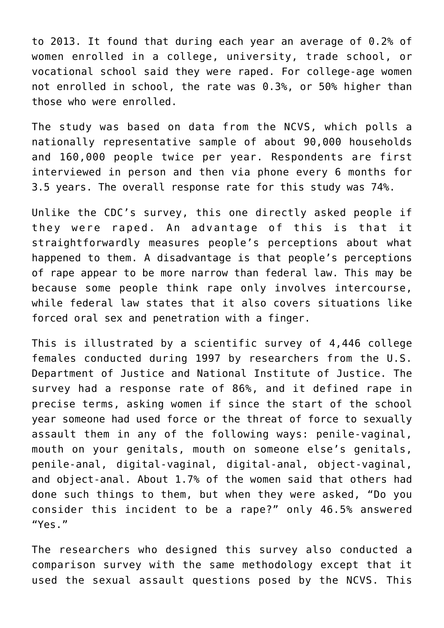to 2013. It found that during each year an average of 0.2% of women enrolled in a college, university, trade school, or vocational school said they were raped. For college-age women not enrolled in school, the rate was 0.3%, or 50% higher than those who were enrolled.

The study was based on data from the NCVS, which polls a nationally representative sample of about 90,000 households and 160,000 people twice per year. Respondents are first interviewed in person and then via phone every 6 months for 3.5 years. The overall response rate for this study was 74%.

Unlike the CDC's survey, this one directly asked people if they were raped. An advantage of this is that it straightforwardly measures people's perceptions about what happened to them. A disadvantage is that people's perceptions of rape appear to be more narrow than federal law. This may be because some people think rape only involves intercourse, while federal law states that it also covers situations like forced oral sex and penetration with a finger.

This is illustrated by a scientific survey of 4,446 college females conducted during 1997 by researchers from the U.S. Department of Justice and National Institute of Justice. The survey had a response rate of 86%, and it defined rape in precise terms, asking women if since the start of the school year someone had used force or the threat of force to sexually assault them in any of the following ways: penile-vaginal, mouth on your genitals, mouth on someone else's genitals, penile-anal, digital-vaginal, digital-anal, object-vaginal, and object-anal. About 1.7% of the women said that others had done such things to them, but when they were asked, "Do you consider this incident to be a rape?" only 46.5% answered "Yes."

The researchers who designed this survey also conducted a comparison survey with the same methodology except that it used the sexual assault questions posed by the NCVS. This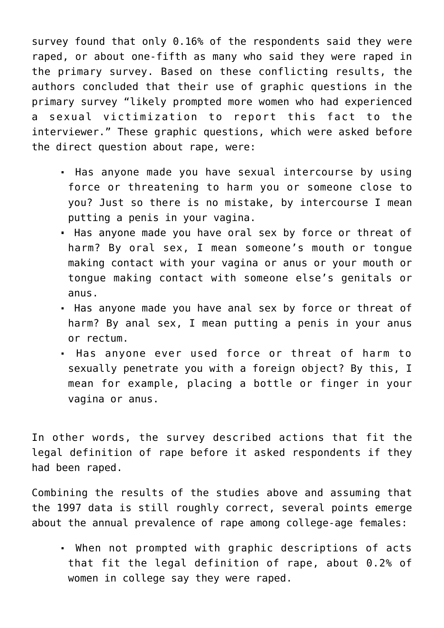survey found that only 0.16% of the respondents said they were raped, or about one-fifth as many who said they were raped in the primary survey. Based on these conflicting results, the authors concluded that their use of graphic questions in the primary survey "likely prompted more women who had experienced a sexual victimization to report this fact to the interviewer." These graphic questions, which were asked before the direct question about rape, were:

- . Has anyone made you have sexual intercourse by using force or threatening to harm you or someone close to you? Just so there is no mistake, by intercourse I mean putting a penis in your vagina.
- Has anyone made you have oral sex by force or threat of harm? By oral sex, I mean someone's mouth or tongue making contact with your vagina or anus or your mouth or tongue making contact with someone else's genitals or anus.
- Has anyone made you have anal sex by force or threat of harm? By anal sex, I mean putting a penis in your anus or rectum.
- Has anyone ever used force or threat of harm to sexually penetrate you with a foreign object? By this, I mean for example, placing a bottle or finger in your vagina or anus.

In other words, the survey described actions that fit the legal definition of rape before it asked respondents if they had been raped.

Combining the results of the studies above and assuming that the 1997 data is still roughly correct, several points emerge about the annual prevalence of rape among college-age females:

 When not prompted with graphic descriptions of acts that fit the legal definition of rape, about 0.2% of women in college say they were raped.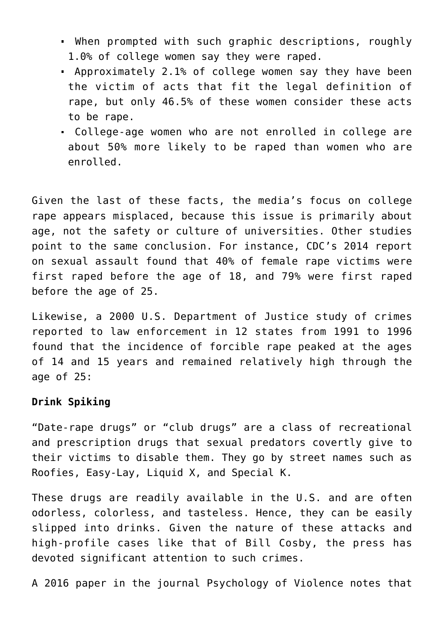- When prompted with such graphic descriptions, roughly 1.0% of college women say they were raped.
- Approximately 2.1% of college women say they have been the victim of acts that fit the legal definition of rape, but only 46.5% of these women consider these acts to be rape.
- College-age women who are not enrolled in college are about 50% more likely to be raped than women who are enrolled.

Given the last of these facts, the media's focus on college rape appears misplaced, because this issue is primarily about age, not the safety or culture of universities. Other studies point to the same conclusion. For instance, CDC's 2014 report on sexual assault found that 40% of female rape victims were first raped before the age of 18, and 79% were first raped before the age of 25.

Likewise, a 2000 U.S. Department of Justice study of crimes reported to law enforcement in 12 states from 1991 to 1996 found that the incidence of forcible rape peaked at the ages of 14 and 15 years and remained relatively high through the age of 25:

#### **Drink Spiking**

"Date-rape drugs" or "club drugs" are a class of recreational and prescription drugs that sexual predators covertly give to their victims to disable them. They go by street names such as Roofies, Easy-Lay, Liquid X, and Special K.

These drugs are readily available in the U.S. and are often odorless, colorless, and tasteless. Hence, they can be easily slipped into drinks. Given the nature of these attacks and high-profile cases like that of Bill Cosby, the press has devoted significant attention to such crimes.

A 2016 paper in the journal Psychology of Violence notes that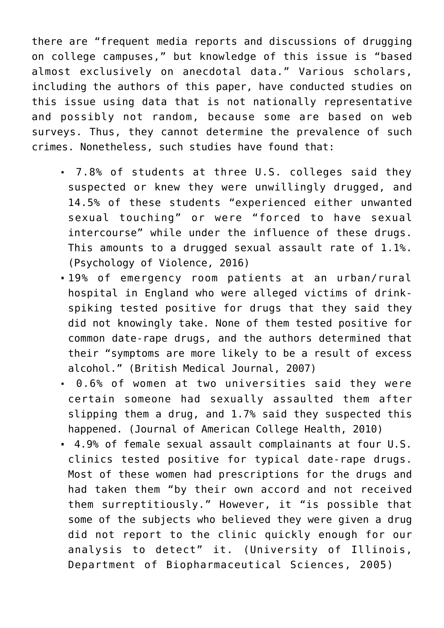there are "frequent media reports and discussions of drugging on college campuses," but knowledge of this issue is "based almost exclusively on anecdotal data." Various scholars, including the authors of this paper, have conducted studies on this issue using data that is not nationally representative and possibly not random, because some are based on web surveys. Thus, they cannot determine the prevalence of such crimes. Nonetheless, such studies have found that:

- 7.8% of students at three U.S. colleges said they suspected or knew they were unwillingly drugged, and 14.5% of these students "experienced either unwanted sexual touching" or were "forced to have sexual intercourse" while under the influence of these drugs. This amounts to a drugged sexual assault rate of 1.1%. (Psychology of Violence, 2016)
- 19% of emergency room patients at an urban/rural hospital in England who were alleged victims of drinkspiking tested positive for drugs that they said they did not knowingly take. None of them tested positive for common date-rape drugs, and the authors determined that their "symptoms are more likely to be a result of excess alcohol." (British Medical Journal, 2007)
- 0.6% of women at two universities said they were certain someone had sexually assaulted them after slipping them a drug, and 1.7% said they suspected this happened. (Journal of American College Health, 2010)
- 4.9% of female sexual assault complainants at four U.S. clinics tested positive for typical date-rape drugs. Most of these women had prescriptions for the drugs and had taken them "by their own accord and not received them surreptitiously." However, it "is possible that some of the subjects who believed they were given a drug did not report to the clinic quickly enough for our analysis to detect" it. (University of Illinois, Department of Biopharmaceutical Sciences, 2005)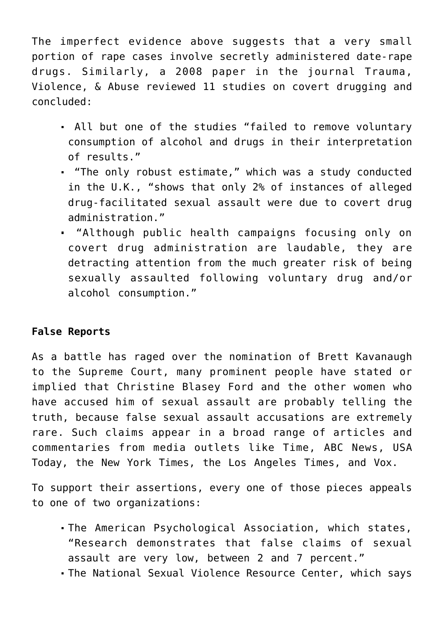The imperfect evidence above suggests that a very small portion of rape cases involve secretly administered date-rape drugs. Similarly, a 2008 paper in the journal Trauma, Violence, & Abuse reviewed 11 studies on covert drugging and concluded:

- All but one of the studies "failed to remove voluntary consumption of alcohol and drugs in their interpretation of results."
- . "The only robust estimate," which was a study conducted in the U.K., "shows that only 2% of instances of alleged drug-facilitated sexual assault were due to covert drug administration."
- "Although public health campaigns focusing only on covert drug administration are laudable, they are detracting attention from the much greater risk of being sexually assaulted following voluntary drug and/or alcohol consumption."

## **False Reports**

As a battle has raged over the nomination of Brett Kavanaugh to the Supreme Court, many prominent people have stated or implied that Christine Blasey Ford and the other women who have accused him of sexual assault are probably telling the truth, because false sexual assault accusations are extremely rare. Such claims appear in a broad range of articles and commentaries from media outlets like Time, ABC News, USA Today, the New York Times, the Los Angeles Times, and Vox.

To support their assertions, every one of those pieces appeals to one of two organizations:

- The American Psychological Association, which states, "Research demonstrates that false claims of sexual assault are very low, between 2 and 7 percent."
- The National Sexual Violence Resource Center, which says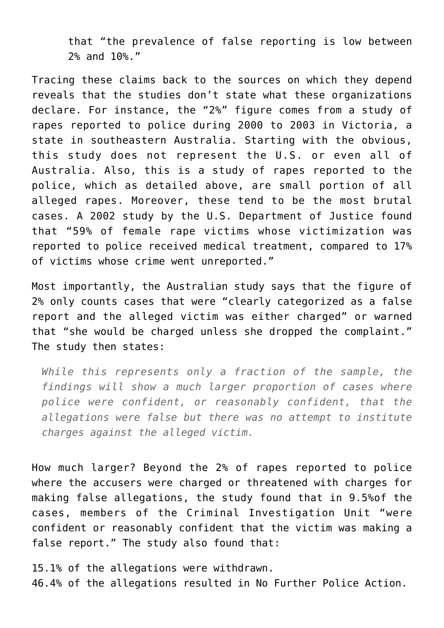that "the prevalence of false reporting is low between 2% and 10%."

Tracing these claims back to the sources on which they depend reveals that the studies don't state what these organizations declare. For instance, the "2%" figure comes from a study of rapes reported to police during 2000 to 2003 in Victoria, a state in southeastern Australia. Starting with the obvious, this study does not represent the U.S. or even all of Australia. Also, this is a study of rapes reported to the police, which as detailed above, are small portion of all alleged rapes. Moreover, these tend to be the most brutal cases. A 2002 study by the U.S. Department of Justice found that "59% of female rape victims whose victimization was reported to police received medical treatment, compared to 17% of victims whose crime went unreported."

Most importantly, the Australian study says that the figure of 2% only counts cases that were "clearly categorized as a false report and the alleged victim was either charged" or warned that "she would be charged unless she dropped the complaint." The study then states:

*While this represents only a fraction of the sample, the findings will show a much larger proportion of cases where police were confident, or reasonably confident, that the allegations were false but there was no attempt to institute charges against the alleged victim.*

How much larger? Beyond the 2% of rapes reported to police where the accusers were charged or threatened with charges for making false allegations, the study found that in 9.5%of the cases, members of the Criminal Investigation Unit "were confident or reasonably confident that the victim was making a false report." The study also found that:

15.1% of the allegations were withdrawn. 46.4% of the allegations resulted in No Further Police Action.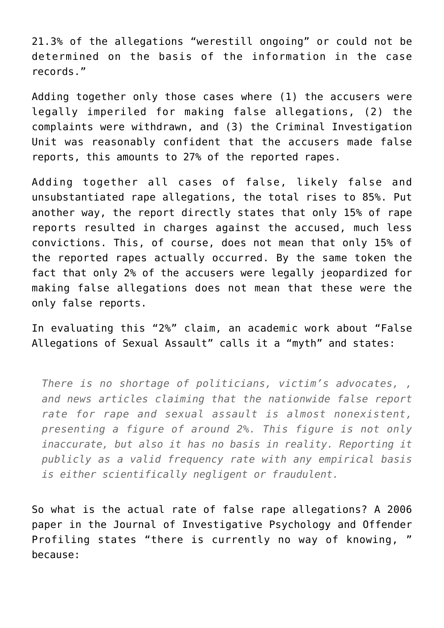21.3% of the allegations "werestill ongoing" or could not be determined on the basis of the information in the case records."

Adding together only those cases where (1) the accusers were legally imperiled for making false allegations, (2) the complaints were withdrawn, and (3) the Criminal Investigation Unit was reasonably confident that the accusers made false reports, this amounts to 27% of the reported rapes.

Adding together all cases of false, likely false and unsubstantiated rape allegations, the total rises to 85%. Put another way, the report directly states that only 15% of rape reports resulted in charges against the accused, much less convictions. This, of course, does not mean that only 15% of the reported rapes actually occurred. By the same token the fact that only 2% of the accusers were legally jeopardized for making false allegations does not mean that these were the only false reports.

In evaluating this "2%" claim, an academic work about "False Allegations of Sexual Assault" calls it a "myth" and states:

*There is no shortage of politicians, victim's advocates, , and news articles claiming that the nationwide false report rate for rape and sexual assault is almost nonexistent, presenting a figure of around 2%. This figure is not only inaccurate, but also it has no basis in reality. Reporting it publicly as a valid frequency rate with any empirical basis is either scientifically negligent or fraudulent.*

So what is the actual rate of false rape allegations? A 2006 paper in the Journal of Investigative Psychology and Offender Profiling states "there is currently no way of knowing, because: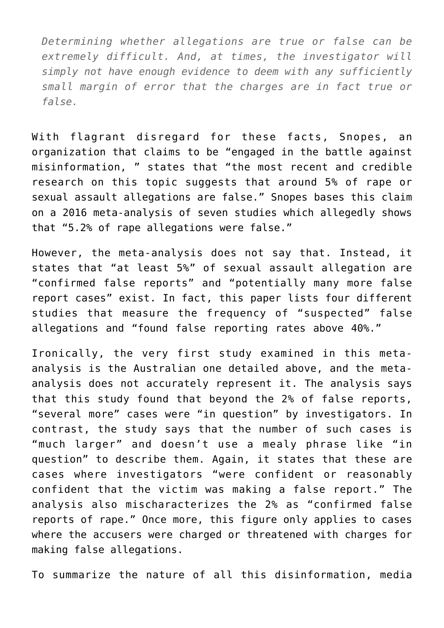*Determining whether allegations are true or false can be extremely difficult. And, at times, the investigator will simply not have enough evidence to deem with any sufficiently small margin of error that the charges are in fact true or false.*

With flagrant disregard for these facts, Snopes, an organization that claims to be "engaged in the battle against misinformation, " states that "the most recent and credible research on this topic suggests that around 5% of rape or sexual assault allegations are false." Snopes bases this claim on a 2016 meta-analysis of seven studies which allegedly shows that "5.2% of rape allegations were false."

However, the meta-analysis does not say that. Instead, it states that "at least 5%" of sexual assault allegation are "confirmed false reports" and "potentially many more false report cases" exist. In fact, this paper lists four different studies that measure the frequency of "suspected" false allegations and "found false reporting rates above 40%."

Ironically, the very first study examined in this metaanalysis is the Australian one detailed above, and the metaanalysis does not accurately represent it. The analysis says that this study found that beyond the 2% of false reports, "several more" cases were "in question" by investigators. In contrast, the study says that the number of such cases is "much larger" and doesn't use a mealy phrase like "in question" to describe them. Again, it states that these are cases where investigators "were confident or reasonably confident that the victim was making a false report." The analysis also mischaracterizes the 2% as "confirmed false reports of rape." Once more, this figure only applies to cases where the accusers were charged or threatened with charges for making false allegations.

To summarize the nature of all this disinformation, media